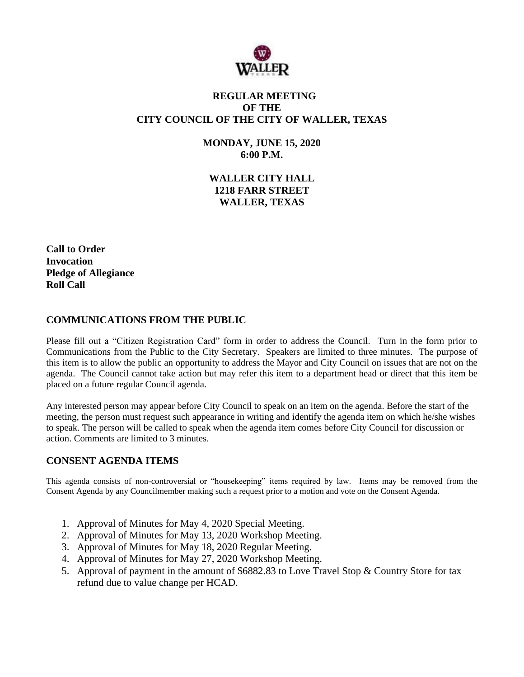

# **REGULAR MEETING OF THE CITY COUNCIL OF THE CITY OF WALLER, TEXAS**

**MONDAY, JUNE 15, 2020 6:00 P.M.**

**WALLER CITY HALL 1218 FARR STREET WALLER, TEXAS**

**Call to Order Invocation Pledge of Allegiance Roll Call**

### **COMMUNICATIONS FROM THE PUBLIC**

Please fill out a "Citizen Registration Card" form in order to address the Council. Turn in the form prior to Communications from the Public to the City Secretary. Speakers are limited to three minutes. The purpose of this item is to allow the public an opportunity to address the Mayor and City Council on issues that are not on the agenda. The Council cannot take action but may refer this item to a department head or direct that this item be placed on a future regular Council agenda.

Any interested person may appear before City Council to speak on an item on the agenda. Before the start of the meeting, the person must request such appearance in writing and identify the agenda item on which he/she wishes to speak. The person will be called to speak when the agenda item comes before City Council for discussion or action. Comments are limited to 3 minutes.

# **CONSENT AGENDA ITEMS**

This agenda consists of non-controversial or "housekeeping" items required by law. Items may be removed from the Consent Agenda by any Councilmember making such a request prior to a motion and vote on the Consent Agenda.

- 1. Approval of Minutes for May 4, 2020 Special Meeting.
- 2. Approval of Minutes for May 13, 2020 Workshop Meeting.
- 3. Approval of Minutes for May 18, 2020 Regular Meeting.
- 4. Approval of Minutes for May 27, 2020 Workshop Meeting.
- 5. Approval of payment in the amount of \$6882.83 to Love Travel Stop & Country Store for tax refund due to value change per HCAD.